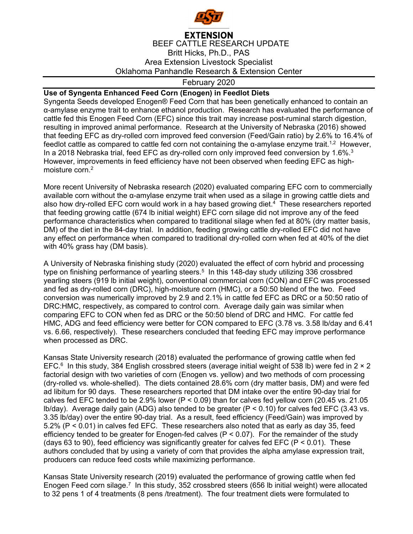

## **EXTENSION** BEEF CATTLE RESEARCH UPDATE Britt Hicks, Ph.D., PAS Area Extension Livestock Specialist Oklahoma Panhandle Research & Extension Center

## February 2020

## **Use of Syngenta Enhanced Feed Corn (Enogen) in Feedlot Diets**

Syngenta Seeds developed Enogen® Feed Corn that has been genetically enhanced to contain an α-amylase enzyme trait to enhance ethanol production. Research has evaluated the performance of cattle fed this Enogen Feed Corn (EFC) since this trait may increase post-ruminal starch digestion, resulting in improved animal performance. Research at the University of Nebraska (2016) showed that feeding EFC as dry-rolled corn improved feed conversion (Feed/Gain ratio) by 2.6% to 16.4% of feedlot cattle as compared to cattle fed corn not containing the  $\alpha$ -amylase enzyme trait.<sup>1,2</sup> However, In a 2018 Nebraska trial, feed EFC as dry-rolled corn only improved feed conversion by 1.6%. $3$ However, improvements in feed efficiency have not been observed when feeding EFC as highmoisture corn.<sup>2</sup>

More recent University of Nebraska research (2020) evaluated comparing EFC corn to commercially available corn without the α-amylase enzyme trait when used as a silage in growing cattle diets and also how dry-rolled EFC corn would work in a hay based growing diet.<sup>4</sup> These researchers reported that feeding growing cattle (674 lb initial weight) EFC corn silage did not improve any of the feed performance characteristics when compared to traditional silage when fed at 80% (dry matter basis, DM) of the diet in the 84-day trial. In addition, feeding growing cattle dry-rolled EFC did not have any effect on performance when compared to traditional dry-rolled corn when fed at 40% of the diet with 40% grass hay (DM basis).

A University of Nebraska finishing study (2020) evaluated the effect of corn hybrid and processing type on finishing performance of yearling steers.<sup>5</sup> In this 148-day study utilizing 336 crossbred yearling steers (919 lb initial weight), conventional commercial corn (CON) and EFC was processed and fed as dry-rolled corn (DRC), high-moisture corn (HMC), or a 50:50 blend of the two. Feed conversion was numerically improved by 2.9 and 2.1% in cattle fed EFC as DRC or a 50:50 ratio of DRC:HMC, respectively, as compared to control corn. Average daily gain was similar when comparing EFC to CON when fed as DRC or the 50:50 blend of DRC and HMC. For cattle fed HMC, ADG and feed efficiency were better for CON compared to EFC (3.78 vs. 3.58 lb/day and 6.41 vs. 6.66, respectively). These researchers concluded that feeding EFC may improve performance when processed as DRC.

Kansas State University research (2018) evaluated the performance of growing cattle when fed EFC.<sup>6</sup> In this study, 384 English crossbred steers (average initial weight of 538 lb) were fed in  $2 \times 2$ factorial design with two varieties of corn (Enogen vs. yellow) and two methods of corn processing (dry-rolled vs. whole-shelled). The diets contained 28.6% corn (dry matter basis, DM) and were fed ad libitum for 90 days. These researchers reported that DM intake over the entire 90-day trial for calves fed EFC tended to be 2.9% lower ( $P < 0.09$ ) than for calves fed yellow corn (20.45 vs. 21.05 lb/day). Average daily gain (ADG) also tended to be greater ( $P < 0.10$ ) for calves fed EFC (3.43 vs. 3.35 lb/day) over the entire 90-day trial. As a result, feed efficiency (Feed/Gain) was improved by 5.2% (P < 0.01) in calves fed EFC. These researchers also noted that as early as day 35, feed efficiency tended to be greater for Enogen-fed calves  $(P < 0.07)$ . For the remainder of the study (days 63 to 90), feed efficiency was significantly greater for calves fed EFC ( $P < 0.01$ ). These authors concluded that by using a variety of corn that provides the alpha amylase expression trait, producers can reduce feed costs while maximizing performance.

Kansas State University research (2019) evaluated the performance of growing cattle when fed Enogen Feed corn silage.<sup>7</sup> In this study, 352 crossbred steers (656 lb initial weight) were allocated to 32 pens 1 of 4 treatments (8 pens /treatment). The four treatment diets were formulated to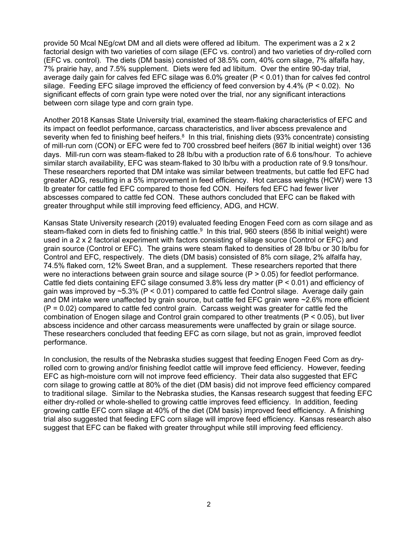provide 50 Mcal NEg/cwt DM and all diets were offered ad libitum. The experiment was a 2 x 2 factorial design with two varieties of corn silage (EFC vs. control) and two varieties of dry-rolled corn (EFC vs. control). The diets (DM basis) consisted of 38.5% corn, 40% corn silage, 7% alfalfa hay, 7% prairie hay, and 7.5% supplement. Diets were fed ad libitum. Over the entire 90-day trial, average daily gain for calves fed EFC silage was 6.0% greater (P < 0.01) than for calves fed control silage. Feeding EFC silage improved the efficiency of feed conversion by 4.4% (P < 0.02). No significant effects of corn grain type were noted over the trial, nor any significant interactions between corn silage type and corn grain type.

Another 2018 Kansas State University trial, examined the steam-flaking characteristics of EFC and its impact on feedlot performance, carcass characteristics, and liver abscess prevalence and severity when fed to finishing beef heifers.<sup>8</sup> In this trial, finishing diets (93% concentrate) consisting of mill-run corn (CON) or EFC were fed to 700 crossbred beef heifers (867 lb initial weight) over 136 days. Mill-run corn was steam-flaked to 28 lb/bu with a production rate of 6.6 tons/hour. To achieve similar starch availability, EFC was steam-flaked to 30 lb/bu with a production rate of 9.9 tons/hour. These researchers reported that DM intake was similar between treatments, but cattle fed EFC had greater ADG, resulting in a 5% improvement in feed efficiency. Hot carcass weights (HCW) were 13 lb greater for cattle fed EFC compared to those fed CON. Heifers fed EFC had fewer liver abscesses compared to cattle fed CON. These authors concluded that EFC can be flaked with greater throughput while still improving feed efficiency, ADG, and HCW.

Kansas State University research (2019) evaluated feeding Enogen Feed corn as corn silage and as steam-flaked corn in diets fed to finishing cattle.<sup>9</sup> In this trial, 960 steers (856 lb initial weight) were used in a 2 x 2 factorial experiment with factors consisting of silage source (Control or EFC) and grain source (Control or EFC). The grains were steam flaked to densities of 28 lb/bu or 30 lb/bu for Control and EFC, respectively. The diets (DM basis) consisted of 8% corn silage, 2% alfalfa hay, 74.5% flaked corn, 12% Sweet Bran, and a supplement. These researchers reported that there were no interactions between grain source and silage source (P > 0.05) for feedlot performance. Cattle fed diets containing EFC silage consumed 3.8% less dry matter (P < 0.01) and efficiency of gain was improved by  $\sim$  5.3% (P < 0.01) compared to cattle fed Control silage. Average daily gain and DM intake were unaffected by grain source, but cattle fed EFC grain were ~2.6% more efficient  $(P = 0.02)$  compared to cattle fed control grain. Carcass weight was greater for cattle fed the combination of Enogen silage and Control grain compared to other treatments (P < 0.05), but liver abscess incidence and other carcass measurements were unaffected by grain or silage source. These researchers concluded that feeding EFC as corn silage, but not as grain, improved feedlot performance.

In conclusion, the results of the Nebraska studies suggest that feeding Enogen Feed Corn as dryrolled corn to growing and/or finishing feedlot cattle will improve feed efficiency. However, feeding EFC as high-moisture corn will not improve feed efficiency. Their data also suggested that EFC corn silage to growing cattle at 80% of the diet (DM basis) did not improve feed efficiency compared to traditional silage. Similar to the Nebraska studies, the Kansas research suggest that feeding EFC either dry-rolled or whole-shelled to growing cattle improves feed efficiency. In addition, feeding growing cattle EFC corn silage at 40% of the diet (DM basis) improved feed efficiency. A finishing trial also suggested that feeding EFC corn silage will improve feed efficiency. Kansas research also suggest that EFC can be flaked with greater throughput while still improving feed efficiency.